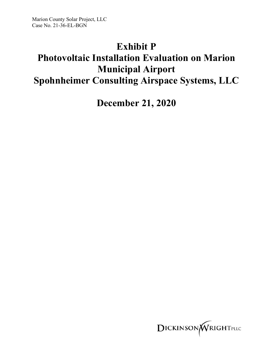## **Exhibit P**

## **Photovoltaic Installation Evaluation on Marion Municipal Airport Spohnheimer Consulting Airspace Systems, LLC**

**December 21, 2020**

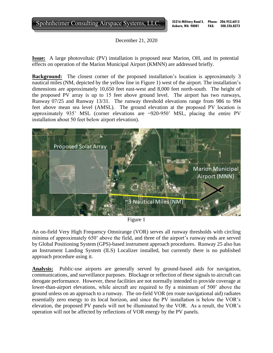Spohnheimer Consulting Airspace Systems, LLC.

**Auburn, WA 98001 Phone: 206.953.6013 FAX: 508.526.8273**

December 21, 2020

**Issue:** A large photovoltaic (PV) installation is proposed near Marion, OH, and its potential effects on operation of the Marion Municipal Airport (KMNN) are addressed briefly.

**Background:** The closest corner of the proposed installation's location is approximately 3 nautical miles (NM, depicted by the yellow line in Figure 1) west of the airport. The installation's dimensions are approximately 10,650 feet east-west and 8,000 feet north-south. The height of the proposed PV array is up to 15 feet above ground level. The airport has two runways, Runway 07/25 and Runway 13/31. The runway threshold elevations range from 986 to 994 feet above mean sea level (AMSL). The ground elevation at the proposed PV location is approximately 935' MSL (corner elevations are ~920-950' MSL, placing the entire PV installation about 50 feet below airport elevation).



Figure 1

An on-field Very High Frequency Omnirange (VOR) serves all runway thresholds with circling minima of approximately 650' above the field, and three of the airport's runway ends are served by Global Positioning System (GPS)-based instrument approach procedures. Runway 25 also has an Instrument Landing System (ILS) Localizer installed, but currently there is no published approach procedure using it.

**Analysis:** Public-use airports are generally served by ground-based aids for navigation, communications, and surveillance purposes. Blockage or reflection of these signals to aircraft can derogate performance. However, these facilities are not normally intended to provide coverage at lower-than-airport elevations, while aircraft are required to fly a minimum of 500' above the ground unless on an approach to a runway. The on-field VOR (en route navigational aid) radiates essentially zero energy to its local horizon, and since the PV installation is below the VOR's elevation, the proposed PV panels will not be illuminated by the VOR. As a result, the VOR's operation will not be affected by reflections of VOR energy by the PV panels.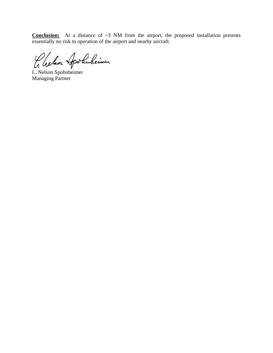**Conclusion:** At a distance of ~3 NM from the airport, the proposed installation presents essentially no risk to operation of the airport and nearby aircraft.

Chelson Apolubeimer

L. Nelson Spohnheimer Managing Partner